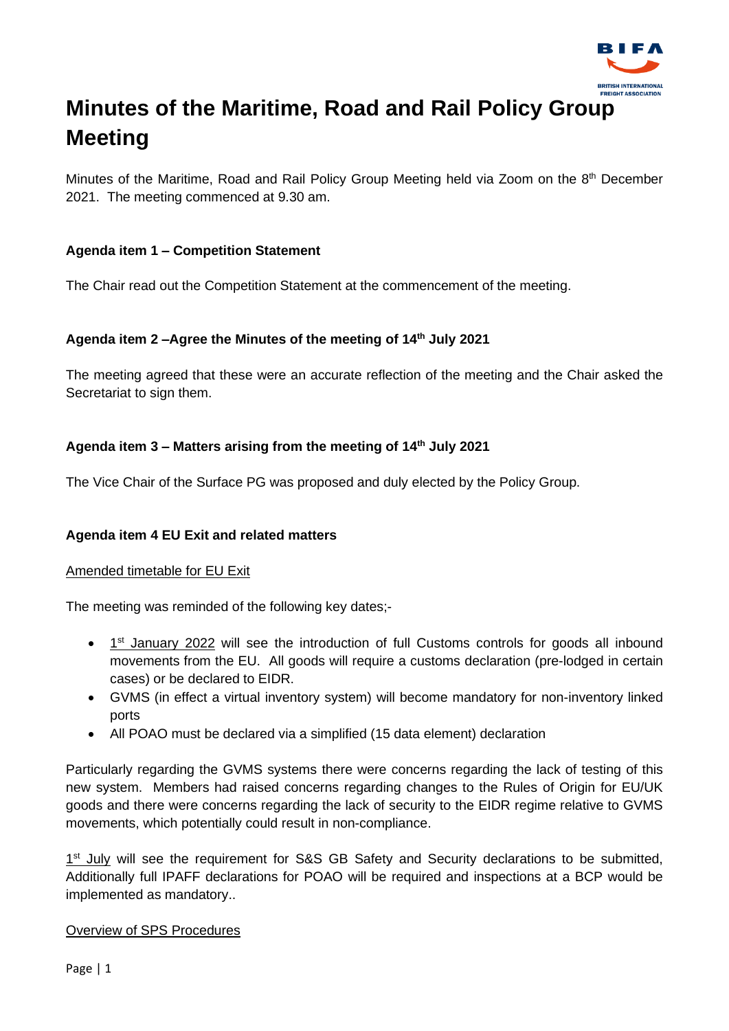

# **Minutes of the Maritime, Road and Rail Policy Group Meeting**

Minutes of the Maritime, Road and Rail Policy Group Meeting held via Zoom on the 8<sup>th</sup> December 2021. The meeting commenced at 9.30 am.

## **Agenda item 1 – Competition Statement**

The Chair read out the Competition Statement at the commencement of the meeting.

## **Agenda item 2 –Agree the Minutes of the meeting of 14th July 2021**

The meeting agreed that these were an accurate reflection of the meeting and the Chair asked the Secretariat to sign them.

## **Agenda item 3 – Matters arising from the meeting of 14th July 2021**

The Vice Chair of the Surface PG was proposed and duly elected by the Policy Group.

## **Agenda item 4 EU Exit and related matters**

#### Amended timetable for EU Exit

The meeting was reminded of the following key dates;-

- 1<sup>st</sup> January 2022 will see the introduction of full Customs controls for goods all inbound movements from the EU. All goods will require a customs declaration (pre-lodged in certain cases) or be declared to EIDR.
- GVMS (in effect a virtual inventory system) will become mandatory for non-inventory linked ports
- All POAO must be declared via a simplified (15 data element) declaration

Particularly regarding the GVMS systems there were concerns regarding the lack of testing of this new system. Members had raised concerns regarding changes to the Rules of Origin for EU/UK goods and there were concerns regarding the lack of security to the EIDR regime relative to GVMS movements, which potentially could result in non-compliance.

1<sup>st</sup> July will see the requirement for S&S GB Safety and Security declarations to be submitted, Additionally full IPAFF declarations for POAO will be required and inspections at a BCP would be implemented as mandatory..

#### Overview of SPS Procedures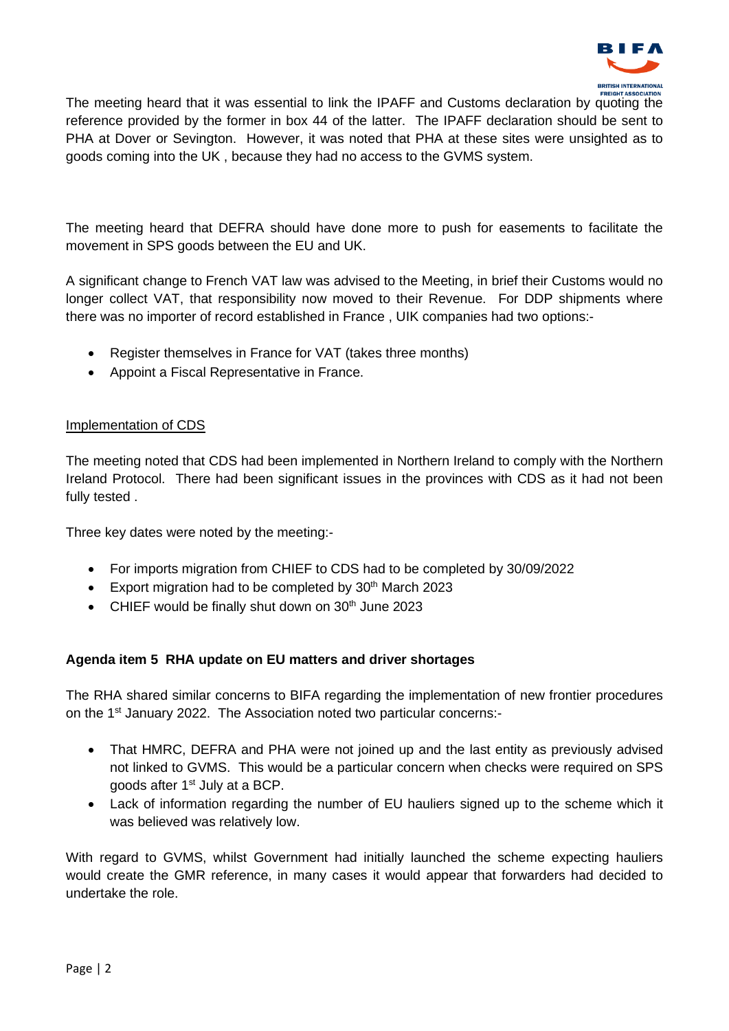

The meeting heard that it was essential to link the IPAFF and Customs declaration by quoting the reference provided by the former in box 44 of the latter. The IPAFF declaration should be sent to PHA at Dover or Sevington. However, it was noted that PHA at these sites were unsighted as to goods coming into the UK , because they had no access to the GVMS system.

The meeting heard that DEFRA should have done more to push for easements to facilitate the movement in SPS goods between the EU and UK.

A significant change to French VAT law was advised to the Meeting, in brief their Customs would no longer collect VAT, that responsibility now moved to their Revenue. For DDP shipments where there was no importer of record established in France , UIK companies had two options:-

- Register themselves in France for VAT (takes three months)
- Appoint a Fiscal Representative in France.

#### Implementation of CDS

The meeting noted that CDS had been implemented in Northern Ireland to comply with the Northern Ireland Protocol. There had been significant issues in the provinces with CDS as it had not been fully tested .

Three key dates were noted by the meeting:-

- For imports migration from CHIEF to CDS had to be completed by 30/09/2022
- Export migration had to be completed by  $30<sup>th</sup>$  March 2023
- CHIEF would be finally shut down on 30<sup>th</sup> June 2023

#### **Agenda item 5 RHA update on EU matters and driver shortages**

The RHA shared similar concerns to BIFA regarding the implementation of new frontier procedures on the 1<sup>st</sup> January 2022. The Association noted two particular concerns:-

- That HMRC, DEFRA and PHA were not joined up and the last entity as previously advised not linked to GVMS. This would be a particular concern when checks were required on SPS goods after 1<sup>st</sup> July at a BCP.
- Lack of information regarding the number of EU hauliers signed up to the scheme which it was believed was relatively low.

With regard to GVMS, whilst Government had initially launched the scheme expecting hauliers would create the GMR reference, in many cases it would appear that forwarders had decided to undertake the role.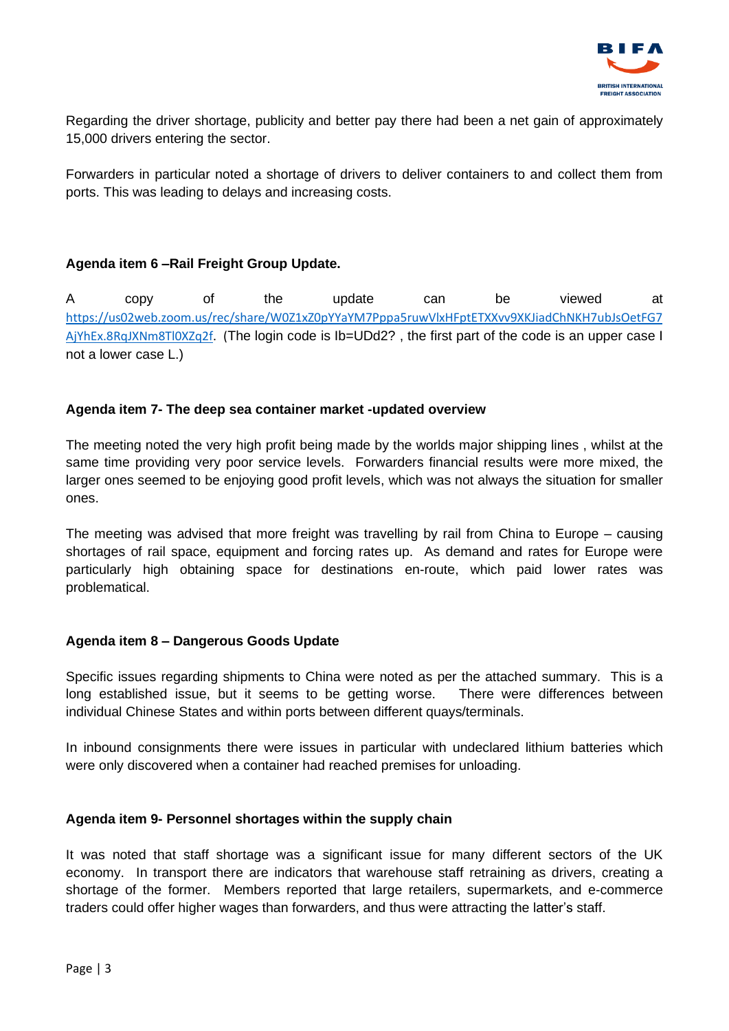

Regarding the driver shortage, publicity and better pay there had been a net gain of approximately 15,000 drivers entering the sector.

Forwarders in particular noted a shortage of drivers to deliver containers to and collect them from ports. This was leading to delays and increasing costs.

#### **Agenda item 6 –Rail Freight Group Update.**

A copy of the update can be viewed at [https://us02web.zoom.us/rec/share/W0Z1xZ0pYYaYM7Pppa5ruwVlxHFptETXXvv9XKJiadChNKH7ubJsOetFG7](https://us02web.zoom.us/rec/share/W0Z1xZ0pYYaYM7Pppa5ruwVlxHFptETXXvv9XKJiadChNKH7ubJsOetFG7AjYhEx.8RqJXNm8Tl0XZq2f) [AjYhEx.8RqJXNm8Tl0XZq2f.](https://us02web.zoom.us/rec/share/W0Z1xZ0pYYaYM7Pppa5ruwVlxHFptETXXvv9XKJiadChNKH7ubJsOetFG7AjYhEx.8RqJXNm8Tl0XZq2f) (The login code is Ib=UDd2? , the first part of the code is an upper case I not a lower case L.)

#### **Agenda item 7- The deep sea container market -updated overview**

The meeting noted the very high profit being made by the worlds major shipping lines , whilst at the same time providing very poor service levels. Forwarders financial results were more mixed, the larger ones seemed to be enjoying good profit levels, which was not always the situation for smaller ones.

The meeting was advised that more freight was travelling by rail from China to Europe – causing shortages of rail space, equipment and forcing rates up. As demand and rates for Europe were particularly high obtaining space for destinations en-route, which paid lower rates was problematical.

#### **Agenda item 8 – Dangerous Goods Update**

Specific issues regarding shipments to China were noted as per the attached summary. This is a long established issue, but it seems to be getting worse. There were differences between individual Chinese States and within ports between different quays/terminals.

In inbound consignments there were issues in particular with undeclared lithium batteries which were only discovered when a container had reached premises for unloading.

#### **Agenda item 9- Personnel shortages within the supply chain**

It was noted that staff shortage was a significant issue for many different sectors of the UK economy. In transport there are indicators that warehouse staff retraining as drivers, creating a shortage of the former. Members reported that large retailers, supermarkets, and e-commerce traders could offer higher wages than forwarders, and thus were attracting the latter's staff.